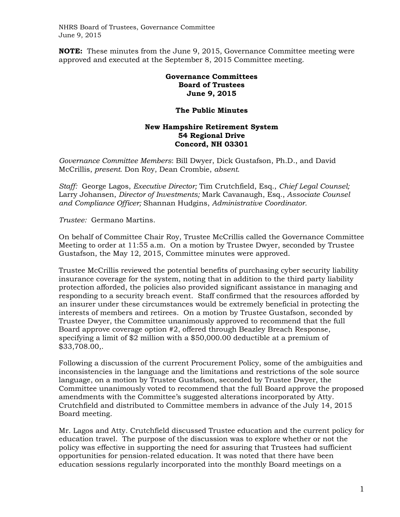NHRS Board of Trustees, Governance Committee June 9, 2015

**NOTE:** These minutes from the June 9, 2015, Governance Committee meeting were approved and executed at the September 8, 2015 Committee meeting.

## **Governance Committees Board of Trustees June 9, 2015**

## **The Public Minutes**

## **New Hampshire Retirement System 54 Regional Drive Concord, NH 03301**

*Governance Committee Members*: Bill Dwyer, Dick Gustafson, Ph.D., and David McCrillis, *present*. Don Roy, Dean Crombie, *absent.* 

*Staff:* George Lagos, *Executive Director;* Tim Crutchfield, Esq., *Chief Legal Counsel;*  Larry Johansen, *Director of Investments;* Mark Cavanaugh, Esq., *Associate Counsel and Compliance Officer;* Shannan Hudgins, *Administrative Coordinator.* 

*Trustee:* Germano Martins.

On behalf of Committee Chair Roy, Trustee McCrillis called the Governance Committee Meeting to order at 11:55 a.m. On a motion by Trustee Dwyer, seconded by Trustee Gustafson, the May 12, 2015, Committee minutes were approved.

Trustee McCrillis reviewed the potential benefits of purchasing cyber security liability insurance coverage for the system, noting that in addition to the third party liability protection afforded, the policies also provided significant assistance in managing and responding to a security breach event. Staff confirmed that the resources afforded by an insurer under these circumstances would be extremely beneficial in protecting the interests of members and retirees. On a motion by Trustee Gustafson, seconded by Trustee Dwyer, the Committee unanimously approved to recommend that the full Board approve coverage option #2, offered through Beazley Breach Response, specifying a limit of \$2 million with a \$50,000.00 deductible at a premium of \$33,708.00,.

Following a discussion of the current Procurement Policy, some of the ambiguities and inconsistencies in the language and the limitations and restrictions of the sole source language, on a motion by Trustee Gustafson, seconded by Trustee Dwyer, the Committee unanimously voted to recommend that the full Board approve the proposed amendments with the Committee's suggested alterations incorporated by Atty. Crutchfield and distributed to Committee members in advance of the July 14, 2015 Board meeting.

Mr. Lagos and Atty. Crutchfield discussed Trustee education and the current policy for education travel. The purpose of the discussion was to explore whether or not the policy was effective in supporting the need for assuring that Trustees had sufficient opportunities for pension-related education. It was noted that there have been education sessions regularly incorporated into the monthly Board meetings on a